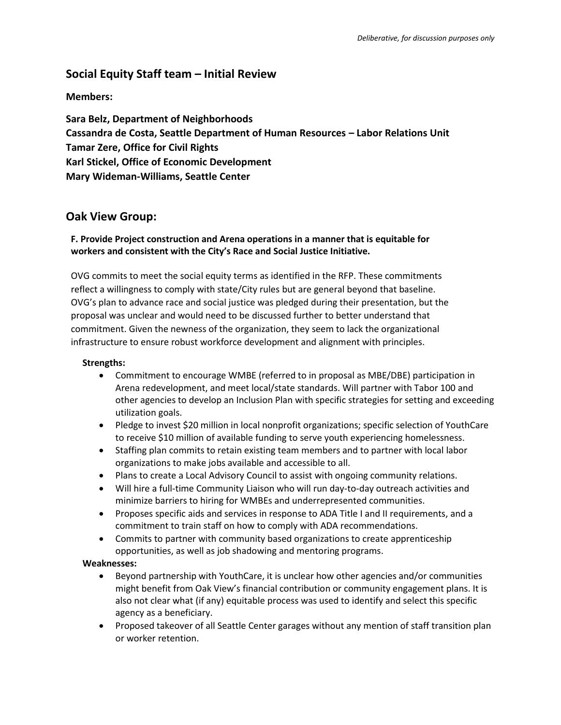# **Social Equity Staff team – Initial Review**

## **Members:**

**Sara Belz, Department of Neighborhoods Cassandra de Costa, Seattle Department of Human Resources – Labor Relations Unit Tamar Zere, Office for Civil Rights Karl Stickel, Office of Economic Development Mary Wideman-Williams, Seattle Center**

# **Oak View Group:**

## **F. Provide Project construction and Arena operations in a manner that is equitable for workers and consistent with the City's Race and Social Justice Initiative.**

OVG commits to meet the social equity terms as identified in the RFP. These commitments reflect a willingness to comply with state/City rules but are general beyond that baseline. OVG's plan to advance race and social justice was pledged during their presentation, but the proposal was unclear and would need to be discussed further to better understand that commitment. Given the newness of the organization, they seem to lack the organizational infrastructure to ensure robust workforce development and alignment with principles.

## **Strengths:**

- Commitment to encourage WMBE (referred to in proposal as MBE/DBE) participation in Arena redevelopment, and meet local/state standards. Will partner with Tabor 100 and other agencies to develop an Inclusion Plan with specific strategies for setting and exceeding utilization goals.
- Pledge to invest \$20 million in local nonprofit organizations; specific selection of YouthCare to receive \$10 million of available funding to serve youth experiencing homelessness.
- Staffing plan commits to retain existing team members and to partner with local labor organizations to make jobs available and accessible to all.
- Plans to create a Local Advisory Council to assist with ongoing community relations.
- Will hire a full-time Community Liaison who will run day-to-day outreach activities and minimize barriers to hiring for WMBEs and underrepresented communities.
- Proposes specific aids and services in response to ADA Title I and II requirements, and a commitment to train staff on how to comply with ADA recommendations.
- Commits to partner with community based organizations to create apprenticeship opportunities, as well as job shadowing and mentoring programs.

#### **Weaknesses:**

- Beyond partnership with YouthCare, it is unclear how other agencies and/or communities might benefit from Oak View's financial contribution or community engagement plans. It is also not clear what (if any) equitable process was used to identify and select this specific agency as a beneficiary.
- Proposed takeover of all Seattle Center garages without any mention of staff transition plan or worker retention.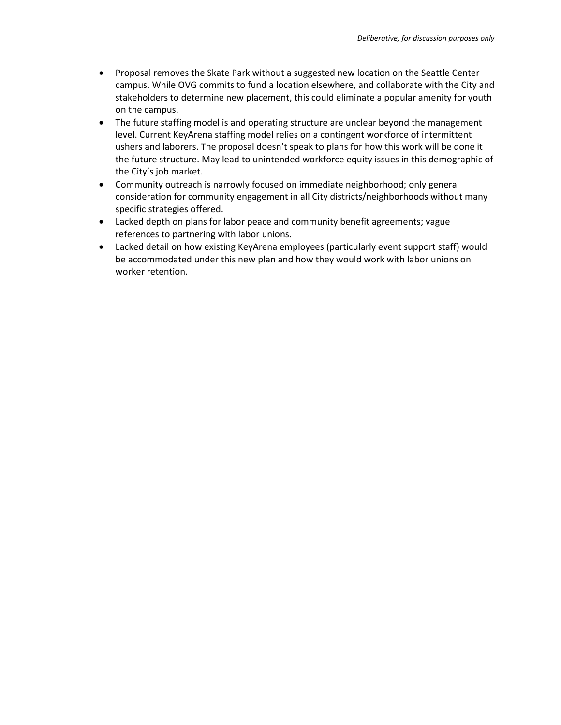- Proposal removes the Skate Park without a suggested new location on the Seattle Center campus. While OVG commits to fund a location elsewhere, and collaborate with the City and stakeholders to determine new placement, this could eliminate a popular amenity for youth on the campus.
- The future staffing model is and operating structure are unclear beyond the management level. Current KeyArena staffing model relies on a contingent workforce of intermittent ushers and laborers. The proposal doesn't speak to plans for how this work will be done it the future structure. May lead to unintended workforce equity issues in this demographic of the City's job market.
- Community outreach is narrowly focused on immediate neighborhood; only general consideration for community engagement in all City districts/neighborhoods without many specific strategies offered.
- Lacked depth on plans for labor peace and community benefit agreements; vague references to partnering with labor unions.
- Lacked detail on how existing KeyArena employees (particularly event support staff) would be accommodated under this new plan and how they would work with labor unions on worker retention.